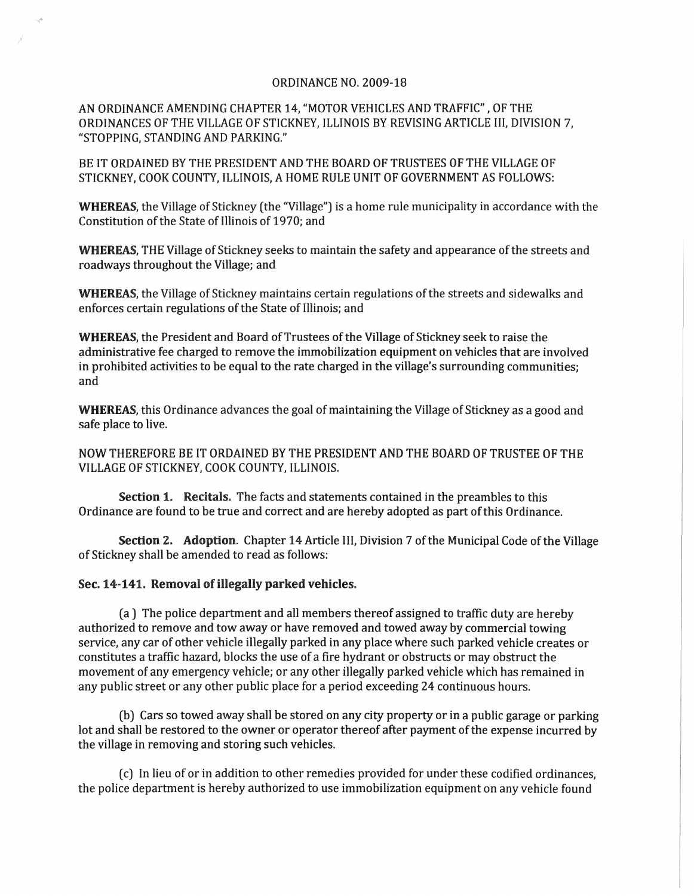## ORDINANCE NO. 2009-18

AN ORDINANCE AMENDING CHAPTER 14, "MOTOR VEHICLES AND TRAFFIC" , OF THE ORDINANCES OF THE VILLAGE OF STICKNEY, ILLINOIS BY REVISING ARTICLE III, DIVISION 7, "STOPPING, STANDING AND PARKING."

BE IT ORDAINED BY THE PRESIDENT AND THE BOARD OF TRUSTEES OF THE VILLAGE OF STICKNEY, COOK COUNTY, ILLINOIS, A HOME RULE UNIT OF GOVERNMENT AS FOLLOWS:

WHEREAS, the Village of Stickney (the "Village") is a home rule municipality in accordance with the Constitution of the State of Illinois of 1970; and

WHEREAS, THE Village of Stickney seeks to maintain the safety and appearance of the streets and roadways throughout the Village; and

WHEREAS, the Village of Stickney maintains certain regulations of the streets and sidewalks and enforces certain regulations of the State of Illinois; and

WHEREAS, the President and Board of Trustees of the Village of Stickney seek to raise the administrative fee charged to remove the immobilization equipment on vehicles that are involved in prohibited activities to be equal to the rate charged in the village's surrounding communities; and

WHEREAS, this Ordinance advances the goal of maintaining the Village of Stickney as a good and safe place to live.

NOW THEREFORE BE IT ORDAINED BY THE PRESIDENT AND THE BOARD OF TRUSTEE OF THE VILLAGE OF STICKNEY, COOK COUNTY, ILLINOIS.

Section 1. Recitals. The facts and statements contained in the preambles to this Ordinance are found to be true and correct and are hereby adopted as part of this Ordinance.

Section 2. Adoption. Chapter 14 Article III, Division 7 of the Municipal Code of the Village of Stickney shall be amended to read as follows:

## Sec. 14-141. Removal of illegally parked vehicles.

(a) The police department and all members thereof assigned to traffic duty are hereby authorized to remove and tow away or have removed and towed away by commercial towing service, any car of other vehicle illegally parked in any place where such parked vehicle creates or constitutes a traffic hazard, blocks the use of a fire hydrant or obstructs or may obstruct the movement of any emergency vehicle; or any other illegally parked vehicle which has remained in any public street or any other public place for a period exceeding 24 continuous hours.

(b) Cars so towed away shall be stored on any city property or in a public garage or parking lot and shall be restored to the owner or operator thereof after payment of the expense incurred by the village in removing and storing such vehicles.

(c) In lieu of or in addition to other remedies provided for under these codified ordinances, the police department is hereby authorized to use immobilization equipment on any vehicle found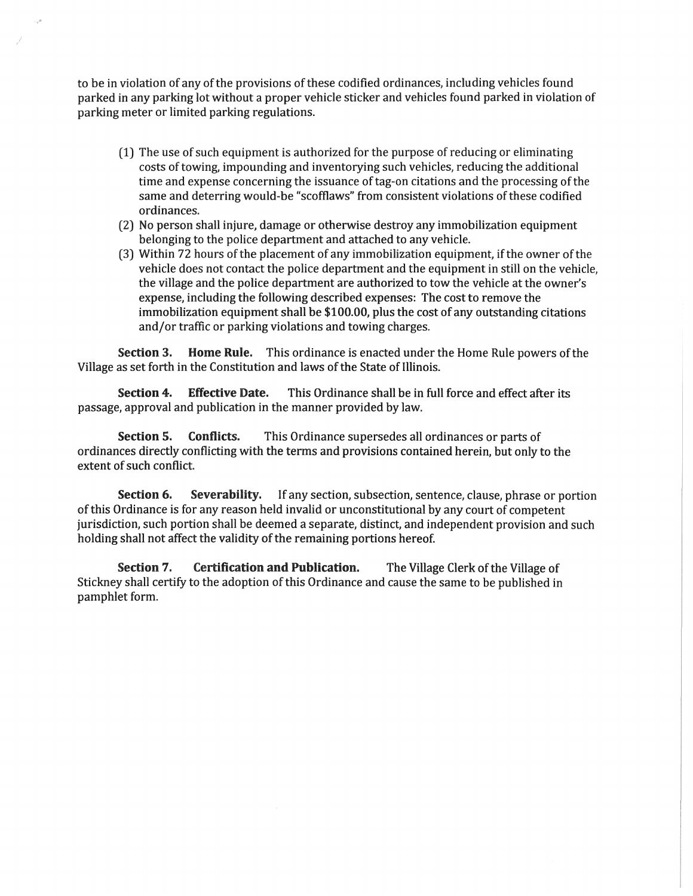to be in violation of any of the provisions of these codified ordinances, including vehicles found parked in any parking lot without a proper vehicle sticker and vehicles found parked in violation of parking meter or limited parking regulations.

- (1) The use of such equipment is authorized for the purpose of reducing or eliminating costs of towing, impounding and inventorying such vehicles, reducing the additional time and expense concerning the issuance of tag-on citations and the processing of the same and deterring would-be "scofflaws" from consistent violations of these codified ordinances.
- (2) No person shall injure, damage or otherwise destroy any immobilization equipment belonging to the police department and attached to any vehicle.
- (3) Within 72 hours of the placement of any immobilization equipment, if the owner of the vehicle does not contact the police department and the equipment in still on the vehicle, the village and the police department are authorized to tow the vehicle at the owner's expense, induding the following described expenses: The cost to remove the  $immobilization equipment shall be $100.00, plus the cost of any outstanding citations$ and/or traffic or parking violations and towing charges.

Section 3. Home Rule. This ordinance is enacted under the Home Rule powers of the Village as set forth in the Constitution and laws of the State of Illinois.

Section 4. Effective Date. This Ordinance shall be in full force and effect after its passage, approval and publication in the manner provided by law.

Section 5. Conflicts. This Ordinance supersedes all ordinances or parts of ordinances directly conflicting with the terms and provisions contained herein, but only to the extent of such conflict.

Section 6. Severability. If any section, subsection, sentence, clause, phrase or portion of this Ordinance is for any reason held invalid or unconstitutional by any court of competent jurisdiction, such portion shall be deemed a separate, distinct, and independent provision and such holding shall not affect the validity of the remaining portions hereof.

Section 7. Certification and Publication. The Village Clerk of the Village of Stickney shall certify to the adoption of this Ordinance and cause the same to be published in pamphlet form.